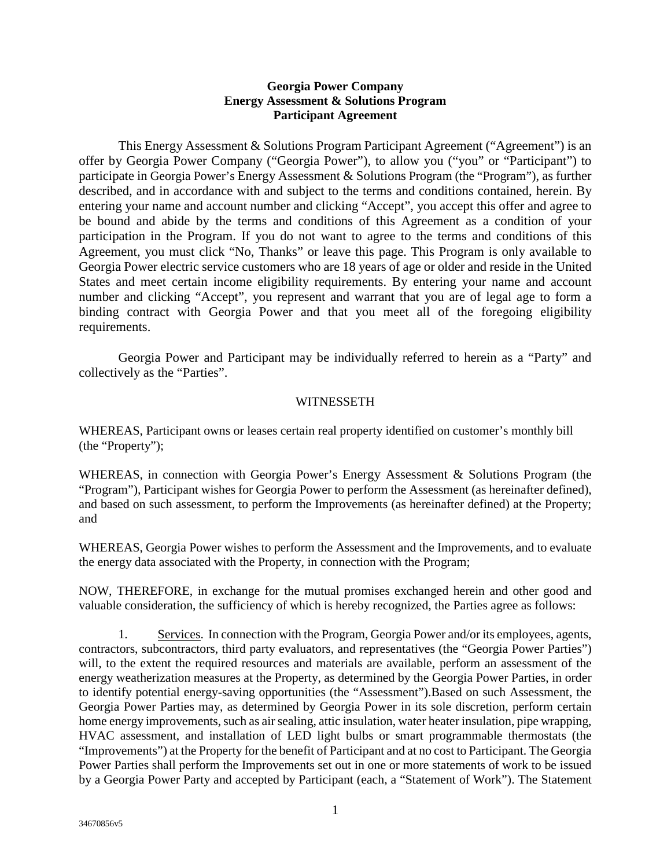## **Georgia Power Company Energy Assessment & Solutions Program Participant Agreement**

This Energy Assessment & Solutions Program Participant Agreement ("Agreement") is an offer by Georgia Power Company ("Georgia Power"), to allow you ("you" or "Participant") to participate in Georgia Power's Energy Assessment & Solutions Program (the "Program"), as further described, and in accordance with and subject to the terms and conditions contained, herein. By entering your name and account number and clicking "Accept", you accept this offer and agree to be bound and abide by the terms and conditions of this Agreement as a condition of your participation in the Program. If you do not want to agree to the terms and conditions of this Agreement, you must click "No, Thanks" or leave this page. This Program is only available to Georgia Power electric service customers who are 18 years of age or older and reside in the United States and meet certain income eligibility requirements. By entering your name and account number and clicking "Accept", you represent and warrant that you are of legal age to form a binding contract with Georgia Power and that you meet all of the foregoing eligibility requirements.

Georgia Power and Participant may be individually referred to herein as a "Party" and collectively as the "Parties".

## WITNESSETH

WHEREAS, Participant owns or leases certain real property identified on customer's monthly bill (the "Property");

WHEREAS, in connection with Georgia Power's Energy Assessment & Solutions Program (the "Program"), Participant wishes for Georgia Power to perform the Assessment (as hereinafter defined), and based on such assessment, to perform the Improvements (as hereinafter defined) at the Property; and

WHEREAS, Georgia Power wishes to perform the Assessment and the Improvements, and to evaluate the energy data associated with the Property, in connection with the Program;

NOW, THEREFORE, in exchange for the mutual promises exchanged herein and other good and valuable consideration, the sufficiency of which is hereby recognized, the Parties agree as follows:

1. Services. In connection with the Program, Georgia Power and/or its employees, agents, contractors, subcontractors, third party evaluators, and representatives (the "Georgia Power Parties") will, to the extent the required resources and materials are available, perform an assessment of the energy weatherization measures at the Property, as determined by the Georgia Power Parties, in order to identify potential energy-saving opportunities (the "Assessment").Based on such Assessment, the Georgia Power Parties may, as determined by Georgia Power in its sole discretion, perform certain home energy improvements, such as air sealing, attic insulation, water heater insulation, pipe wrapping, HVAC assessment, and installation of LED light bulbs or smart programmable thermostats (the "Improvements") at the Property for the benefit of Participant and at no cost to Participant. The Georgia Power Parties shall perform the Improvements set out in one or more statements of work to be issued by a Georgia Power Party and accepted by Participant (each, a "Statement of Work"). The Statement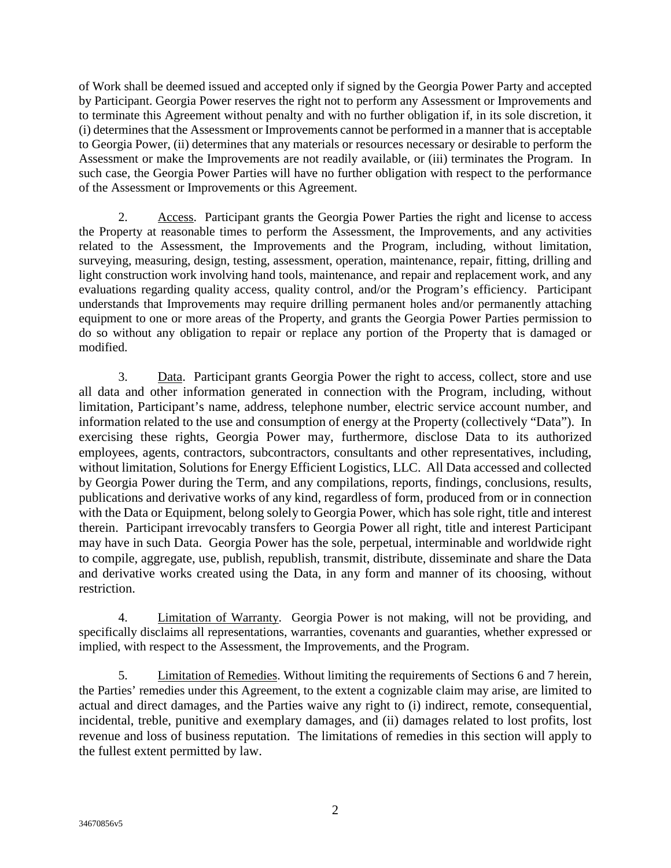of Work shall be deemed issued and accepted only if signed by the Georgia Power Party and accepted by Participant. Georgia Power reserves the right not to perform any Assessment or Improvements and to terminate this Agreement without penalty and with no further obligation if, in its sole discretion, it (i) determines that the Assessment or Improvements cannot be performed in a manner that is acceptable to Georgia Power, (ii) determines that any materials or resources necessary or desirable to perform the Assessment or make the Improvements are not readily available, or (iii) terminates the Program. In such case, the Georgia Power Parties will have no further obligation with respect to the performance of the Assessment or Improvements or this Agreement.

2. Access. Participant grants the Georgia Power Parties the right and license to access the Property at reasonable times to perform the Assessment, the Improvements, and any activities related to the Assessment, the Improvements and the Program, including, without limitation, surveying, measuring, design, testing, assessment, operation, maintenance, repair, fitting, drilling and light construction work involving hand tools, maintenance, and repair and replacement work, and any evaluations regarding quality access, quality control, and/or the Program's efficiency. Participant understands that Improvements may require drilling permanent holes and/or permanently attaching equipment to one or more areas of the Property, and grants the Georgia Power Parties permission to do so without any obligation to repair or replace any portion of the Property that is damaged or modified.

3. Data. Participant grants Georgia Power the right to access, collect, store and use all data and other information generated in connection with the Program, including, without limitation, Participant's name, address, telephone number, electric service account number, and information related to the use and consumption of energy at the Property (collectively "Data"). In exercising these rights, Georgia Power may, furthermore, disclose Data to its authorized employees, agents, contractors, subcontractors, consultants and other representatives, including, without limitation, Solutions for Energy Efficient Logistics, LLC. All Data accessed and collected by Georgia Power during the Term, and any compilations, reports, findings, conclusions, results, publications and derivative works of any kind, regardless of form, produced from or in connection with the Data or Equipment, belong solely to Georgia Power, which has sole right, title and interest therein. Participant irrevocably transfers to Georgia Power all right, title and interest Participant may have in such Data. Georgia Power has the sole, perpetual, interminable and worldwide right to compile, aggregate, use, publish, republish, transmit, distribute, disseminate and share the Data and derivative works created using the Data, in any form and manner of its choosing, without restriction.

4. Limitation of Warranty. Georgia Power is not making, will not be providing, and specifically disclaims all representations, warranties, covenants and guaranties, whether expressed or implied, with respect to the Assessment, the Improvements, and the Program.

5. Limitation of Remedies. Without limiting the requirements of Sections 6 and 7 herein, the Parties' remedies under this Agreement, to the extent a cognizable claim may arise, are limited to actual and direct damages, and the Parties waive any right to (i) indirect, remote, consequential, incidental, treble, punitive and exemplary damages, and (ii) damages related to lost profits, lost revenue and loss of business reputation. The limitations of remedies in this section will apply to the fullest extent permitted by law.